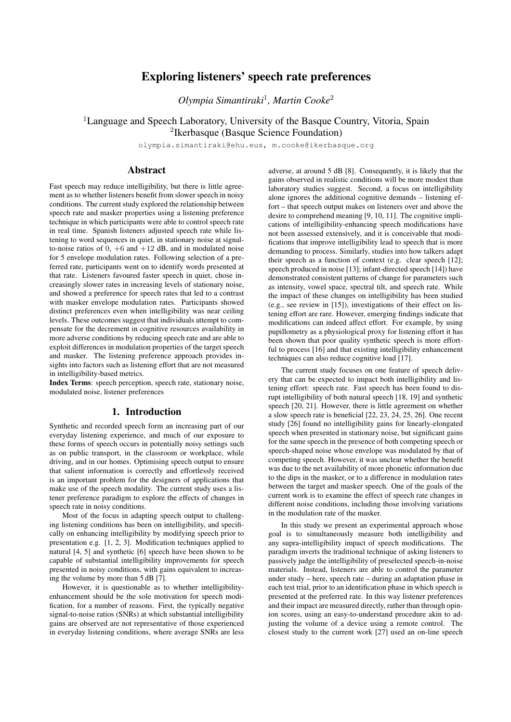# Exploring listeners' speech rate preferences

*Olympia Simantiraki*<sup>1</sup> *, Martin Cooke*<sup>2</sup>

<sup>1</sup>Language and Speech Laboratory, University of the Basque Country, Vitoria, Spain

2 Ikerbasque (Basque Science Foundation)

olympia.simantiraki@ehu.eus, m.cooke@ikerbasque.org

## Abstract

Fast speech may reduce intelligibility, but there is little agreement as to whether listeners benefit from slower speech in noisy conditions. The current study explored the relationship between speech rate and masker properties using a listening preference technique in which participants were able to control speech rate in real time. Spanish listeners adjusted speech rate while listening to word sequences in quiet, in stationary noise at signalto-noise ratios of  $\overline{0}$ ,  $+6$  and  $+12$  dB, and in modulated noise for 5 envelope modulation rates. Following selection of a preferred rate, participants went on to identify words presented at that rate. Listeners favoured faster speech in quiet, chose increasingly slower rates in increasing levels of stationary noise, and showed a preference for speech rates that led to a contrast with masker envelope modulation rates. Participants showed distinct preferences even when intelligibility was near ceiling levels. These outcomes suggest that individuals attempt to compensate for the decrement in cognitive resources availability in more adverse conditions by reducing speech rate and are able to exploit differences in modulation properties of the target speech and masker. The listening preference approach provides insights into factors such as listening effort that are not measured in intelligibility-based metrics.

Index Terms: speech perception, speech rate, stationary noise, modulated noise, listener preferences

# 1. Introduction

Synthetic and recorded speech form an increasing part of our everyday listening experience, and much of our exposure to these forms of speech occurs in potentially noisy settings such as on public transport, in the classroom or workplace, while driving, and in our homes. Optimising speech output to ensure that salient information is correctly and effortlessly received is an important problem for the designers of applications that make use of the speech modality. The current study uses a listener preference paradigm to explore the effects of changes in speech rate in noisy conditions.

Most of the focus in adapting speech output to challenging listening conditions has been on intelligibility, and specifically on enhancing intelligibility by modifying speech prior to presentation e.g. [1, 2, 3]. Modification techniques applied to natural [4, 5] and synthetic [6] speech have been shown to be capable of substantial intelligibility improvements for speech presented in noisy conditions, with gains equivalent to increasing the volume by more than 5 dB [7].

However, it is questionable as to whether intelligibilityenhancement should be the sole motivation for speech modification, for a number of reasons. First, the typically negative signal-to-noise ratios (SNRs) at which substantial intelligibility gains are observed are not representative of those experienced in everyday listening conditions, where average SNRs are less adverse, at around 5 dB [8]. Consequently, it is likely that the gains observed in realistic conditions will be more modest than laboratory studies suggest. Second, a focus on intelligibility alone ignores the additional cognitive demands – listening effort – that speech output makes on listeners over and above the desire to comprehend meaning [9, 10, 11]. The cognitive implications of intelligibility-enhancing speech modifications have not been assessed extensively, and it is conceivable that modifications that improve intelligibility lead to speech that is more demanding to process. Similarly, studies into how talkers adapt their speech as a function of context (e.g. clear speech [12]; speech produced in noise [13]; infant-directed speech [14]) have demonstrated consistent patterns of change for parameters such as intensity, vowel space, spectral tilt, and speech rate. While the impact of these changes on intelligibility has been studied (e.g., see review in [15]), investigations of their effect on listening effort are rare. However, emerging findings indicate that modifications can indeed affect effort. For example, by using pupillometry as a physiological proxy for listening effort it has been shown that poor quality synthetic speech is more effortful to process [16] and that existing intelligibility enhancement techniques can also reduce cognitive load [17].

The current study focuses on one feature of speech delivery that can be expected to impact both intelligibility and listening effort: speech rate. Fast speech has been found to disrupt intelligibility of both natural speech [18, 19] and synthetic speech [20, 21]. However, there is little agreement on whether a slow speech rate is beneficial [22, 23, 24, 25, 26]. One recent study [26] found no intelligibility gains for linearly-elongated speech when presented in stationary noise, but significant gains for the same speech in the presence of both competing speech or speech-shaped noise whose envelope was modulated by that of competing speech. However, it was unclear whether the benefit was due to the net availability of more phonetic information due to the dips in the masker, or to a difference in modulation rates between the target and masker speech. One of the goals of the current work is to examine the effect of speech rate changes in different noise conditions, including those involving variations in the modulation rate of the masker.

In this study we present an experimental approach whose goal is to simultaneously measure both intelligibility and any supra-intelligibility impact of speech modifications. The paradigm inverts the traditional technique of asking listeners to passively judge the intelligibility of preselected speech-in-noise materials. Instead, listeners are able to control the parameter under study – here, speech rate – during an adaptation phase in each test trial, prior to an identification phase in which speech is presented at the preferred rate. In this way listener preferences and their impact are measured directly, rather than through opinion scores, using an easy-to-understand procedure akin to adjusting the volume of a device using a remote control. The closest study to the current work [27] used an on-line speech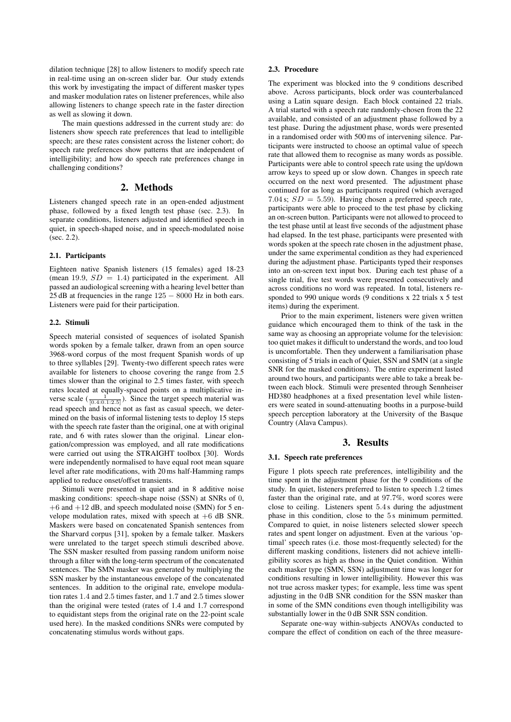dilation technique [28] to allow listeners to modify speech rate in real-time using an on-screen slider bar. Our study extends this work by investigating the impact of different masker types and masker modulation rates on listener preferences, while also allowing listeners to change speech rate in the faster direction as well as slowing it down.

The main questions addressed in the current study are: do listeners show speech rate preferences that lead to intelligible speech; are these rates consistent across the listener cohort; do speech rate preferences show patterns that are independent of intelligibility; and how do speech rate preferences change in challenging conditions?

#### 2. Methods

Listeners changed speech rate in an open-ended adjustment phase, followed by a fixed length test phase (sec. 2.3). In separate conditions, listeners adjusted and identified speech in quiet, in speech-shaped noise, and in speech-modulated noise (sec. 2.2).

#### 2.1. Participants

Eighteen native Spanish listeners (15 females) aged 18-23 (mean 19.9,  $SD = 1.4$ ) participated in the experiment. All passed an audiological screening with a hearing level better than  $25$  dB at frequencies in the range  $125 - 8000$  Hz in both ears. Listeners were paid for their participation.

#### 2.2. Stimuli

Speech material consisted of sequences of isolated Spanish words spoken by a female talker, drawn from an open source 3968-word corpus of the most frequent Spanish words of up to three syllables [29]. Twenty-two different speech rates were available for listeners to choose covering the range from 2.5 times slower than the original to 2.5 times faster, with speech rates located at equally-spaced points on a multiplicative inverse scale  $\left(\frac{1}{[0.4:0.1:2.5]}\right)$ . Since the target speech material was read speech and hence not as fast as casual speech, we determined on the basis of informal listening tests to deploy 15 steps with the speech rate faster than the original, one at with original rate, and 6 with rates slower than the original. Linear elongation/compression was employed, and all rate modifications were carried out using the STRAIGHT toolbox [30]. Words were independently normalised to have equal root mean square level after rate modifications, with 20 ms half-Hamming ramps applied to reduce onset/offset transients.

Stimuli were presented in quiet and in 8 additive noise masking conditions: speech-shape noise (SSN) at SNRs of 0,  $+6$  and  $+12$  dB, and speech modulated noise (SMN) for 5 envelope modulation rates, mixed with speech at  $+6$  dB SNR. Maskers were based on concatenated Spanish sentences from the Sharvard corpus [31], spoken by a female talker. Maskers were unrelated to the target speech stimuli described above. The SSN masker resulted from passing random uniform noise through a filter with the long-term spectrum of the concatenated sentences. The SMN masker was generated by multiplying the SSN masker by the instantaneous envelope of the concatenated sentences. In addition to the original rate, envelope modulation rates 1.4 and 2.5 times faster, and 1.7 and 2.5 times slower than the original were tested (rates of 1.4 and 1.7 correspond to equidistant steps from the original rate on the 22-point scale used here). In the masked conditions SNRs were computed by concatenating stimulus words without gaps.

#### 2.3. Procedure

The experiment was blocked into the 9 conditions described above. Across participants, block order was counterbalanced using a Latin square design. Each block contained 22 trials. A trial started with a speech rate randomly-chosen from the 22 available, and consisted of an adjustment phase followed by a test phase. During the adjustment phase, words were presented in a randomised order with 500 ms of intervening silence. Participants were instructed to choose an optimal value of speech rate that allowed them to recognise as many words as possible. Participants were able to control speech rate using the up/down arrow keys to speed up or slow down. Changes in speech rate occurred on the next word presented. The adjustment phase continued for as long as participants required (which averaged 7.04 s;  $SD = 5.59$ ). Having chosen a preferred speech rate, participants were able to proceed to the test phase by clicking an on-screen button. Participants were not allowed to proceed to the test phase until at least five seconds of the adjustment phase had elapsed. In the test phase, participants were presented with words spoken at the speech rate chosen in the adjustment phase, under the same experimental condition as they had experienced during the adjustment phase. Participants typed their responses into an on-screen text input box. During each test phase of a single trial, five test words were presented consecutively and across conditions no word was repeated. In total, listeners responded to 990 unique words (9 conditions x 22 trials x 5 test items) during the experiment.

Prior to the main experiment, listeners were given written guidance which encouraged them to think of the task in the same way as choosing an appropriate volume for the television: too quiet makes it difficult to understand the words, and too loud is uncomfortable. Then they underwent a familiarisation phase consisting of 5 trials in each of Quiet, SSN and SMN (at a single SNR for the masked conditions). The entire experiment lasted around two hours, and participants were able to take a break between each block. Stimuli were presented through Sennheiser HD380 headphones at a fixed presentation level while listeners were seated in sound-attenuating booths in a purpose-build speech perception laboratory at the University of the Basque Country (Alava Campus).

#### 3. Results

#### 3.1. Speech rate preferences

Figure 1 plots speech rate preferences, intelligibility and the time spent in the adjustment phase for the 9 conditions of the study. In quiet, listeners preferred to listen to speech 1.2 times faster than the original rate, and at 97.7%, word scores were close to ceiling. Listeners spent 5.4 s during the adjustment phase in this condition, close to the 5 s minimum permitted. Compared to quiet, in noise listeners selected slower speech rates and spent longer on adjustment. Even at the various 'optimal' speech rates (i.e. those most-frequently selected) for the different masking conditions, listeners did not achieve intelligibility scores as high as those in the Quiet condition. Within each masker type (SMN, SSN) adjustment time was longer for conditions resulting in lower intelligibility. However this was not true across masker types; for example, less time was spent adjusting in the 0 dB SNR condition for the SSN masker than in some of the SMN conditions even though intelligibility was substantially lower in the 0 dB SNR SSN condition.

Separate one-way within-subjects ANOVAs conducted to compare the effect of condition on each of the three measure-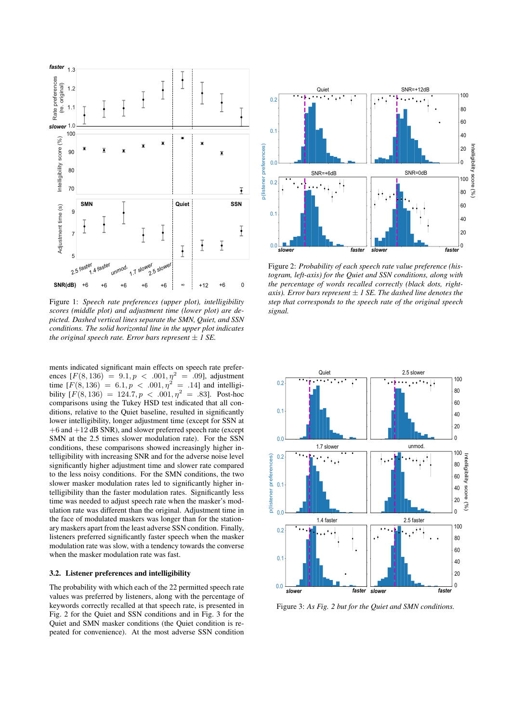

Figure 1: *Speech rate preferences (upper plot), intelligibility scores (middle plot) and adjustment time (lower plot) are depicted. Dashed vertical lines separate the SMN, Quiet, and SSN conditions. The solid horizontal line in the upper plot indicates the original speech rate. Error bars represent*  $\pm$  *1 SE.* 

ments indicated significant main effects on speech rate preferences  $[F(8, 136) = 9.1, p < .001, \eta^2 = .09]$ , adjustment time  $[F(8, 136) = 6.1, p < .001, \eta^2 = .14]$  and intelligibility  $[F(8, 136) = 124.7, p < .001, \eta^2 = .83]$ . Post-hoc comparisons using the Tukey HSD test indicated that all conditions, relative to the Quiet baseline, resulted in significantly lower intelligibility, longer adjustment time (except for SSN at  $+6$  and  $+12$  dB SNR), and slower preferred speech rate (except SMN at the 2.5 times slower modulation rate). For the SSN conditions, these comparisons showed increasingly higher intelligibility with increasing SNR and for the adverse noise level significantly higher adjustment time and slower rate compared to the less noisy conditions. For the SMN conditions, the two slower masker modulation rates led to significantly higher intelligibility than the faster modulation rates. Significantly less time was needed to adjust speech rate when the masker's modulation rate was different than the original. Adjustment time in the face of modulated maskers was longer than for the stationary maskers apart from the least adverse SSN condition. Finally, listeners preferred significantly faster speech when the masker modulation rate was slow, with a tendency towards the converse when the masker modulation rate was fast.

#### 3.2. Listener preferences and intelligibility

The probability with which each of the 22 permitted speech rate values was preferred by listeners, along with the percentage of keywords correctly recalled at that speech rate, is presented in Fig. 2 for the Quiet and SSN conditions and in Fig. 3 for the Quiet and SMN masker conditions (the Quiet condition is repeated for convenience). At the most adverse SSN condition



Figure 2: *Probability of each speech rate value preference (histogram, left-axis) for the Quiet and SSN conditions, along with the percentage of words recalled correctly (black dots, rightaxis*). Error bars represent  $\pm$  *1 SE. The dashed line denotes the step that corresponds to the speech rate of the original speech signal.*



Figure 3: *As Fig. 2 but for the Quiet and SMN conditions.*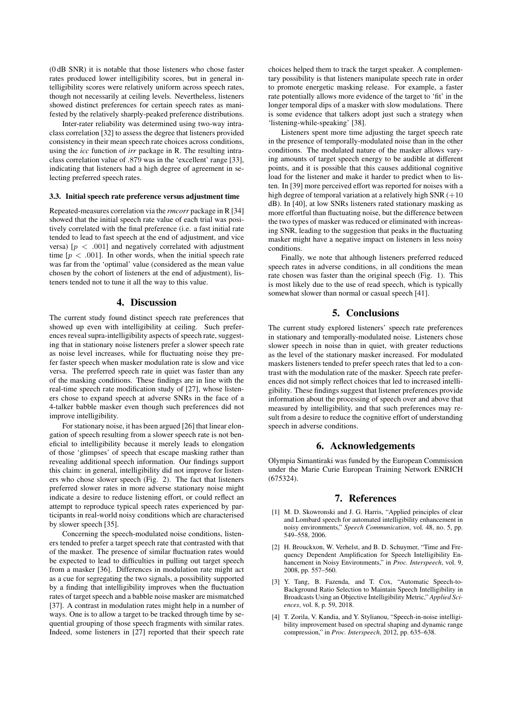(0 dB SNR) it is notable that those listeners who chose faster rates produced lower intelligibility scores, but in general intelligibility scores were relatively uniform across speech rates, though not necessarily at ceiling levels. Nevertheless, listeners showed distinct preferences for certain speech rates as manifested by the relatively sharply-peaked preference distributions.

Inter-rater reliability was determined using two-way intraclass correlation [32] to assess the degree that listeners provided consistency in their mean speech rate choices across conditions, using the *icc* function of *irr* package in R. The resulting intraclass correlation value of .879 was in the 'excellent' range [33], indicating that listeners had a high degree of agreement in selecting preferred speech rates.

#### 3.3. Initial speech rate preference versus adjustment time

Repeated-measures correlation via the *rmcorr* package in R [34] showed that the initial speech rate value of each trial was positively correlated with the final preference (i.e. a fast initial rate tended to lead to fast speech at the end of adjustment, and vice versa)  $[p < .001]$  and negatively correlated with adjustment time  $[p \lt 0.001]$ . In other words, when the initial speech rate was far from the 'optimal' value (considered as the mean value chosen by the cohort of listeners at the end of adjustment), listeners tended not to tune it all the way to this value.

#### 4. Discussion

The current study found distinct speech rate preferences that showed up even with intelligibility at ceiling. Such preferences reveal supra-intelligibility aspects of speech rate, suggesting that in stationary noise listeners prefer a slower speech rate as noise level increases, while for fluctuating noise they prefer faster speech when masker modulation rate is slow and vice versa. The preferred speech rate in quiet was faster than any of the masking conditions. These findings are in line with the real-time speech rate modification study of [27], whose listeners chose to expand speech at adverse SNRs in the face of a 4-talker babble masker even though such preferences did not improve intelligibility.

For stationary noise, it has been argued [26] that linear elongation of speech resulting from a slower speech rate is not beneficial to intelligibility because it merely leads to elongation of those 'glimpses' of speech that escape masking rather than revealing additional speech information. Our findings support this claim: in general, intelligibility did not improve for listeners who chose slower speech (Fig. 2). The fact that listeners preferred slower rates in more adverse stationary noise might indicate a desire to reduce listening effort, or could reflect an attempt to reproduce typical speech rates experienced by participants in real-world noisy conditions which are characterised by slower speech [35].

Concerning the speech-modulated noise conditions, listeners tended to prefer a target speech rate that contrasted with that of the masker. The presence of similar fluctuation rates would be expected to lead to difficulties in pulling out target speech from a masker [36]. Differences in modulation rate might act as a cue for segregating the two signals, a possibility supported by a finding that intelligibility improves when the fluctuation rates of target speech and a babble noise masker are mismatched [37]. A contrast in modulation rates might help in a number of ways. One is to allow a target to be tracked through time by sequential grouping of those speech fragments with similar rates. Indeed, some listeners in [27] reported that their speech rate choices helped them to track the target speaker. A complementary possibility is that listeners manipulate speech rate in order to promote energetic masking release. For example, a faster rate potentially allows more evidence of the target to 'fit' in the longer temporal dips of a masker with slow modulations. There is some evidence that talkers adopt just such a strategy when 'listening-while-speaking' [38].

Listeners spent more time adjusting the target speech rate in the presence of temporally-modulated noise than in the other conditions. The modulated nature of the masker allows varying amounts of target speech energy to be audible at different points, and it is possible that this causes additional cognitive load for the listener and make it harder to predict when to listen. In [39] more perceived effort was reported for noises with a high degree of temporal variation at a relatively high SNR  $(+10$ dB). In [40], at low SNRs listeners rated stationary masking as more effortful than fluctuating noise, but the difference between the two types of masker was reduced or eliminated with increasing SNR, leading to the suggestion that peaks in the fluctuating masker might have a negative impact on listeners in less noisy conditions.

Finally, we note that although listeners preferred reduced speech rates in adverse conditions, in all conditions the mean rate chosen was faster than the original speech (Fig. 1). This is most likely due to the use of read speech, which is typically somewhat slower than normal or casual speech [41].

### 5. Conclusions

The current study explored listeners' speech rate preferences in stationary and temporally-modulated noise. Listeners chose slower speech in noise than in quiet, with greater reductions as the level of the stationary masker increased. For modulated maskers listeners tended to prefer speech rates that led to a contrast with the modulation rate of the masker. Speech rate preferences did not simply reflect choices that led to increased intelligibility. These findings suggest that listener preferences provide information about the processing of speech over and above that measured by intelligibility, and that such preferences may result from a desire to reduce the cognitive effort of understanding speech in adverse conditions.

### 6. Acknowledgements

Olympia Simantiraki was funded by the European Commission under the Marie Curie European Training Network ENRICH (675324).

#### 7. References

- [1] M. D. Skowronski and J. G. Harris, "Applied principles of clear and Lombard speech for automated intelligibility enhancement in noisy environments," *Speech Communication*, vol. 48, no. 5, pp. 549–558, 2006.
- [2] H. Brouckxon, W. Verhelst, and B. D. Schuymer, "Time and Frequency Dependent Amplification for Speech Intelligibility Enhancement in Noisy Environments," in *Proc. Interspeech*, vol. 9, 2008, pp. 557–560.
- [3] Y. Tang, B. Fazenda, and T. Cox, "Automatic Speech-to-Background Ratio Selection to Maintain Speech Intelligibility in Broadcasts Using an Objective Intelligibility Metric," *Applied Sciences*, vol. 8, p. 59, 2018.
- [4] T. Zorila, V. Kandia, and Y. Stylianou, "Speech-in-noise intelligibility improvement based on spectral shaping and dynamic range compression," in *Proc. Interspeech*, 2012, pp. 635–638.